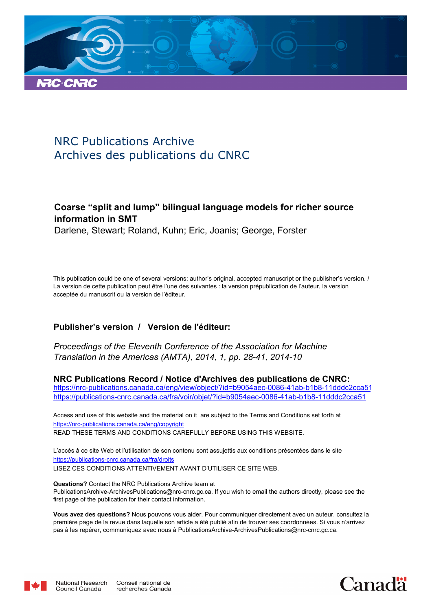

# NRC Publications Archive Archives des publications du CNRC

# **Coarse "split and lump" bilingual language models for richer source information in SMT**

Darlene, Stewart; Roland, Kuhn; Eric, Joanis; George, Forster

This publication could be one of several versions: author's original, accepted manuscript or the publisher's version. / La version de cette publication peut être l'une des suivantes : la version prépublication de l'auteur, la version acceptée du manuscrit ou la version de l'éditeur.

# **Publisher's version / Version de l'éditeur:**

*Proceedings of the Eleventh Conference of the Association for Machine Translation in the Americas (AMTA), 2014, 1, pp. 28-41, 2014-10*

**NRC Publications Record / Notice d'Archives des publications de CNRC:**

https://nrc-publications.canada.ca/eng/view/object/?id=b9054aec-0086-41ab-b1b8-11dddc2cca51 https://publications-cnrc.canada.ca/fra/voir/objet/?id=b9054aec-0086-41ab-b1b8-11dddc2cca51

READ THESE TERMS AND CONDITIONS CAREFULLY BEFORE USING THIS WEBSITE. https://nrc-publications.canada.ca/eng/copyright Access and use of this website and the material on it are subject to the Terms and Conditions set forth at

https://publications-cnrc.canada.ca/fra/droits L'accès à ce site Web et l'utilisation de son contenu sont assujettis aux conditions présentées dans le site LISEZ CES CONDITIONS ATTENTIVEMENT AVANT D'UTILISER CE SITE WEB.

**Questions?** Contact the NRC Publications Archive team at PublicationsArchive-ArchivesPublications@nrc-cnrc.gc.ca. If you wish to email the authors directly, please see the first page of the publication for their contact information.

**Vous avez des questions?** Nous pouvons vous aider. Pour communiquer directement avec un auteur, consultez la première page de la revue dans laquelle son article a été publié afin de trouver ses coordonnées. Si vous n'arrivez pas à les repérer, communiquez avec nous à PublicationsArchive-ArchivesPublications@nrc-cnrc.gc.ca.



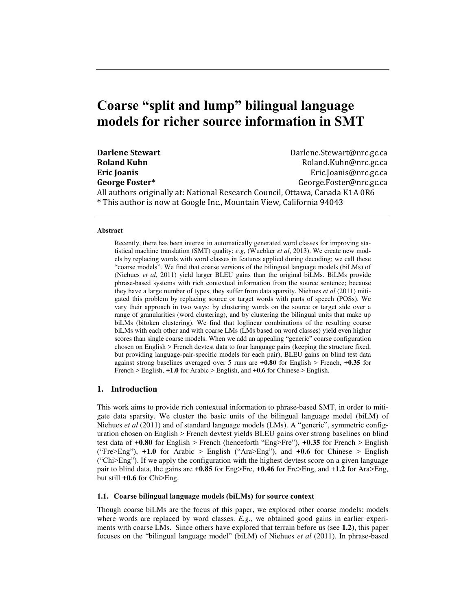# **Coarse "split and lump" bilingual language models for richer source information in SMT**

| <b>Darlene Stewart</b>                                               | Darlene.Stewart@nrc.gc.ca                                                    |
|----------------------------------------------------------------------|------------------------------------------------------------------------------|
| <b>Roland Kuhn</b>                                                   | Roland.Kuhn@nrc.gc.ca                                                        |
| <b>Eric Joanis</b>                                                   | Eric.Joanis@nrc.gc.ca                                                        |
| George Foster*                                                       | George.Foster@nrc.gc.ca                                                      |
|                                                                      | All authors originally at: National Research Council, Ottawa, Canada K1A 0R6 |
| * This author is now at Google Inc., Mountain View, California 94043 |                                                                              |

#### **Abstract**

Recently, there has been interest in automatically generated word classes for improving statistical machine translation (SMT) quality: *e.g*, (Wuebker *et al*, 2013). We create new models by replacing words with word classes in features applied during decoding; we call these "coarse models". We find that coarse versions of the bilingual language models (biLMs) of (Niehues *et al*, 2011) yield larger BLEU gains than the original biLMs. BiLMs provide phrase-based systems with rich contextual information from the source sentence; because they have a large number of types, they suffer from data sparsity. Niehues *et al* (2011) mitigated this problem by replacing source or target words with parts of speech (POSs). We vary their approach in two ways: by clustering words on the source or target side over a range of granularities (word clustering), and by clustering the bilingual units that make up biLMs (bitoken clustering). We find that loglinear combinations of the resulting coarse biLMs with each other and with coarse LMs (LMs based on word classes) yield even higher scores than single coarse models. When we add an appealing "generic" coarse configuration chosen on English > French devtest data to four language pairs (keeping the structure fixed, but providing language-pair-specific models for each pair), BLEU gains on blind test data against strong baselines averaged over 5 runs are **+0.80** for English > French, **+0.35** for French > English, **+1.0** for Arabic > English, and **+0.6** for Chinese > English.

## **1. Introduction**

This work aims to provide rich contextual information to phrase-based SMT, in order to mitigate data sparsity. We cluster the basic units of the bilingual language model (biLM) of Niehues *et al* (2011) and of standard language models (LMs). A "generic", symmetric configuration chosen on English > French devtest yields BLEU gains over strong baselines on blind test data of +**0.80** for English > French (henceforth "Eng>Fre"), **+0.35** for French > English ("Fre>Eng"), **+1.0** for Arabic > English ("Ara>Eng"), and **+0.6** for Chinese > English ("Chi>Eng"). If we apply the configuration with the highest devtest score on a given language pair to blind data, the gains are **+0.85** for Eng>Fre, **+0.46** for Fre>Eng, and +**1.2** for Ara>Eng, but still **+0.6** for Chi>Eng.

#### **1.1. Coarse bilingual language models (biLMs) for source context**

Though coarse biLMs are the focus of this paper, we explored other coarse models: models where words are replaced by word classes. *E.g.*, we obtained good gains in earlier experiments with coarse LMs. Since others have explored that terrain before us (see **1.2**), this paper focuses on the "bilingual language model" (biLM) of Niehues *et al* (2011). In phrase-based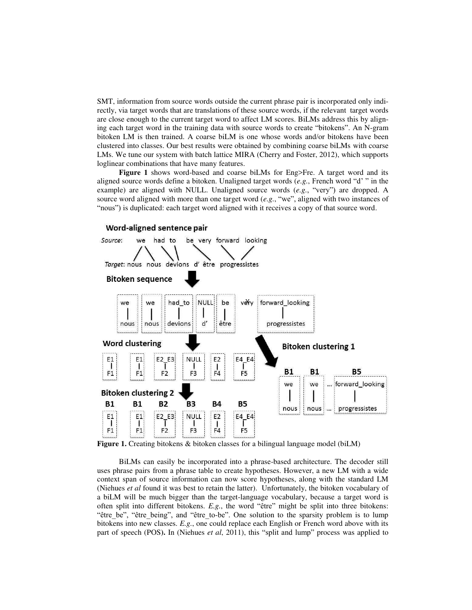SMT, information from source words outside the current phrase pair is incorporated only indirectly, via target words that are translations of these source words, if the relevant target words are close enough to the current target word to affect LM scores. BiLMs address this by aligning each target word in the training data with source words to create "bitokens". An N-gram bitoken LM is then trained. A coarse biLM is one whose words and/or bitokens have been clustered into classes. Our best results were obtained by combining coarse biLMs with coarse LMs. We tune our system with batch lattice MIRA (Cherry and Foster, 2012), which supports loglinear combinations that have many features.

**Figure 1** shows word-based and coarse biLMs for Eng>Fre. A target word and its aligned source words define a bitoken. Unaligned target words (*e.g.*, French word "d' " in the example) are aligned with NULL. Unaligned source words (*e.g.*, "very") are dropped. A source word aligned with more than one target word (*e.g.*, "we", aligned with two instances of "nous") is duplicated: each target word aligned with it receives a copy of that source word.



**Figure 1.** Creating bitokens & bitoken classes for a bilingual language model (biLM)

BiLMs can easily be incorporated into a phrase-based architecture. The decoder still uses phrase pairs from a phrase table to create hypotheses. However, a new LM with a wide context span of source information can now score hypotheses, along with the standard LM (Niehues *et al* found it was best to retain the latter). Unfortunately, the bitoken vocabulary of a biLM will be much bigger than the target-language vocabulary, because a target word is often split into different bitokens. *E.g.*, the word "être" might be split into three bitokens: "être\_be", "être\_being", and "être\_to-be". One solution to the sparsity problem is to lump bitokens into new classes. *E.g.*, one could replace each English or French word above with its part of speech (POS**).** In (Niehues *et al*, 2011), this "split and lump" process was applied to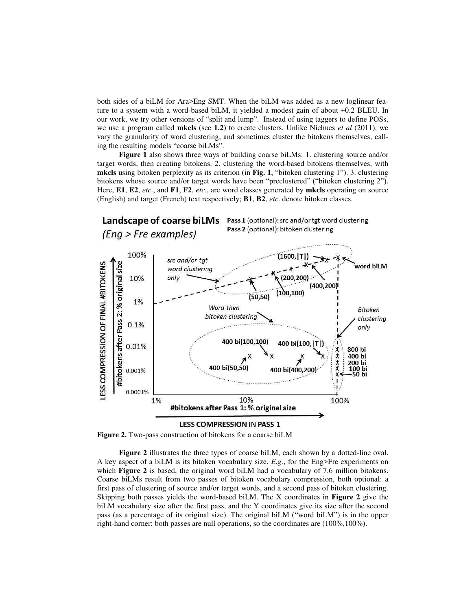both sides of a biLM for Ara>Eng SMT. When the biLM was added as a new loglinear feature to a system with a word-based biLM, it yielded a modest gain of about +0.2 BLEU. In our work, we try other versions of "split and lump". Instead of using taggers to define POSs, we use a program called **mkcls** (see **1.2**) to create clusters. Unlike Niehues *et al* (2011), we vary the granularity of word clustering, and sometimes cluster the bitokens themselves, calling the resulting models "coarse biLMs".

**Figure 1** also shows three ways of building coarse biLMs: 1. clustering source and/or target words, then creating bitokens. 2. clustering the word-based bitokens themselves, with **mkcls** using bitoken perplexity as its criterion (in **Fig. 1**, "bitoken clustering 1"). 3. clustering bitokens whose source and/or target words have been "preclustered" ("bitoken clustering 2"). Here, **E1**, **E2**, *etc*., and **F1**, **F2**, *etc*., are word classes generated by **mkcls** operating on source (English) and target (French) text respectively; **B1**, **B2**, *etc*. denote bitoken classes.



**Figure 2.** Two-pass construction of bitokens for a coarse biLM

**Figure 2** illustrates the three types of coarse biLM, each shown by a dotted-line oval. A key aspect of a biLM is its bitoken vocabulary size. *E.g.*, for the Eng>Fre experiments on which **Figure 2** is based, the original word biLM had a vocabulary of 7.6 million bitokens. Coarse biLMs result from two passes of bitoken vocabulary compression, both optional: a first pass of clustering of source and/or target words, and a second pass of bitoken clustering. Skipping both passes yields the word-based biLM. The X coordinates in **Figure 2** give the biLM vocabulary size after the first pass, and the Y coordinates give its size after the second pass (as a percentage of its original size). The original biLM ("word biLM") is in the upper right-hand corner: both passes are null operations, so the coordinates are (100%,100%).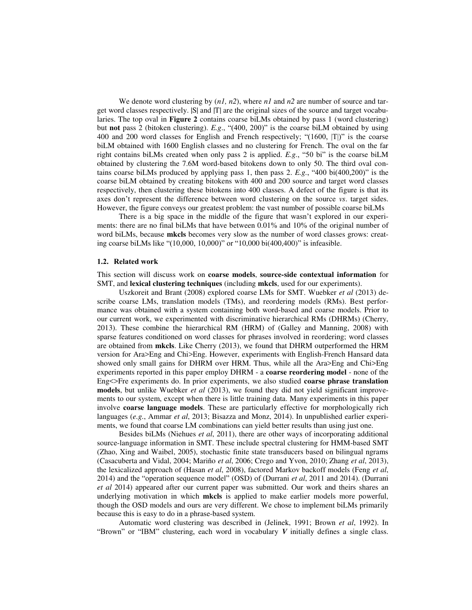We denote word clustering by (*n1, n2*), where *n1* and *n2* are number of source and target word classes respectively. |S| and |T| are the original sizes of the source and target vocabularies. The top oval in **Figure 2** contains coarse biLMs obtained by pass 1 (word clustering) but **not** pass 2 (bitoken clustering). *E.g*., "(400, 200)" is the coarse biLM obtained by using 400 and 200 word classes for English and French respectively; "(1600, |T|)" is the coarse biLM obtained with 1600 English classes and no clustering for French. The oval on the far right contains biLMs created when only pass 2 is applied. *E.g.*, "50 bi" is the coarse biLM obtained by clustering the 7.6M word-based bitokens down to only 50. The third oval contains coarse biLMs produced by applying pass 1, then pass 2. *E.g.*, "400 bi(400,200)" is the coarse biLM obtained by creating bitokens with 400 and 200 source and target word classes respectively, then clustering these bitokens into 400 classes. A defect of the figure is that its axes don't represent the difference between word clustering on the source *vs*. target sides. However, the figure conveys our greatest problem: the vast number of possible coarse biLMs

There is a big space in the middle of the figure that wasn't explored in our experiments: there are no final biLMs that have between 0.01% and 10% of the original number of word biLMs, because **mkcls** becomes very slow as the number of word classes grows: creating coarse biLMs like "(10,000, 10,000)" or "10,000 bi(400,400)" is infeasible.

#### **1.2. Related work**

This section will discuss work on **coarse models**, **source-side contextual information** for SMT, and **lexical clustering techniques** (including **mkcls**, used for our experiments).

Uszkoreit and Brant (2008) explored coarse LMs for SMT. Wuebker *et al* (2013) describe coarse LMs, translation models (TMs), and reordering models (RMs). Best performance was obtained with a system containing both word-based and coarse models. Prior to our current work, we experimented with discriminative hierarchical RMs (DHRMs) (Cherry, 2013). These combine the hierarchical RM (HRM) of (Galley and Manning, 2008) with sparse features conditioned on word classes for phrases involved in reordering; word classes are obtained from **mkcls**. Like Cherry (2013), we found that DHRM outperformed the HRM version for Ara>Eng and Chi>Eng. However, experiments with English-French Hansard data showed only small gains for DHRM over HRM. Thus, while all the Ara>Eng and Chi>Eng experiments reported in this paper employ DHRM - a **coarse reordering model** - none of the Eng<>Fre experiments do. In prior experiments, we also studied **coarse phrase translation models**, but unlike Wuebker *et al* (2013), we found they did not yield significant improvements to our system, except when there is little training data. Many experiments in this paper involve **coarse language models**. These are particularly effective for morphologically rich languages (*e.g.*, Ammar *et al*, 2013; Bisazza and Monz, 2014). In unpublished earlier experiments, we found that coarse LM combinations can yield better results than using just one.

Besides biLMs (Niehues *et al*, 2011), there are other ways of incorporating additional source-language information in SMT. These include spectral clustering for HMM-based SMT (Zhao, Xing and Waibel, 2005), stochastic finite state transducers based on bilingual ngrams (Casacuberta and Vidal, 2004; Mariño *et al*, 2006; Crego and Yvon, 2010; Zhang *et al*, 2013), the lexicalized approach of (Hasan *et al*, 2008), factored Markov backoff models (Feng *et al*, 2014) and the "operation sequence model" (OSD) of (Durrani *et al*, 2011 and 2014). (Durrani *et al* 2014) appeared after our current paper was submitted. Our work and theirs shares an underlying motivation in which **mkcls** is applied to make earlier models more powerful, though the OSD models and ours are very different. We chose to implement biLMs primarily because this is easy to do in a phrase-based system.

Automatic word clustering was described in (Jelinek, 1991; Brown *et al*, 1992). In "Brown" or "IBM" clustering, each word in vocabulary *V* initially defines a single class.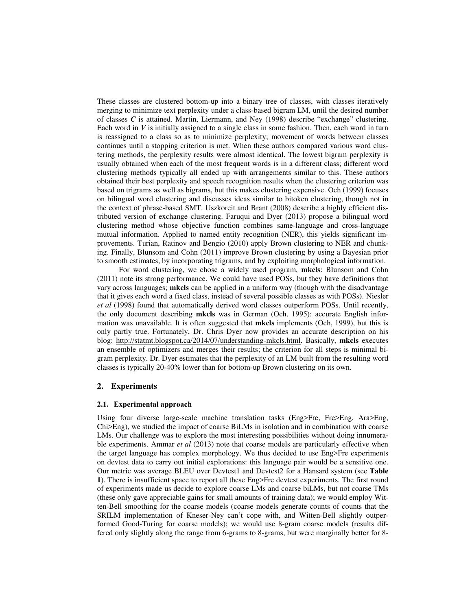These classes are clustered bottom-up into a binary tree of classes, with classes iteratively merging to minimize text perplexity under a class-based bigram LM, until the desired number of classes *C* is attained. Martin, Liermann, and Ney (1998) describe "exchange" clustering. Each word in  $V$  is initially assigned to a single class in some fashion. Then, each word in turn is reassigned to a class so as to minimize perplexity; movement of words between classes continues until a stopping criterion is met. When these authors compared various word clustering methods, the perplexity results were almost identical. The lowest bigram perplexity is usually obtained when each of the most frequent words is in a different class; different word clustering methods typically all ended up with arrangements similar to this. These authors obtained their best perplexity and speech recognition results when the clustering criterion was based on trigrams as well as bigrams, but this makes clustering expensive. Och (1999) focuses on bilingual word clustering and discusses ideas similar to bitoken clustering, though not in the context of phrase-based SMT. Uszkoreit and Brant (2008) describe a highly efficient distributed version of exchange clustering. Faruqui and Dyer (2013) propose a bilingual word clustering method whose objective function combines same-language and cross-language mutual information. Applied to named entity recognition (NER), this yields significant improvements. Turian, Ratinov and Bengio (2010) apply Brown clustering to NER and chunking. Finally, Blunsom and Cohn (2011) improve Brown clustering by using a Bayesian prior to smooth estimates, by incorporating trigrams, and by exploiting morphological information.

For word clustering, we chose a widely used program, **mkcls**: Blunsom and Cohn (2011) note its strong performance. We could have used POSs, but they have definitions that vary across languages; **mkcls** can be applied in a uniform way (though with the disadvantage that it gives each word a fixed class, instead of several possible classes as with POSs). Niesler *et al* (1998) found that automatically derived word classes outperform POSs. Until recently, the only document describing **mkcls** was in German (Och, 1995): accurate English information was unavailable. It is often suggested that **mkcls** implements (Och, 1999), but this is only partly true. Fortunately, Dr. Chris Dyer now provides an accurate description on his blog: [http://statmt.blogspot.ca/2014/07/understanding-mkcls.html.](http://statmt.blogspot.ca/2014/07/understanding-mkcls.html) Basically, **mkcls** executes an ensemble of optimizers and merges their results; the criterion for all steps is minimal bigram perplexity. Dr. Dyer estimates that the perplexity of an LM built from the resulting word classes is typically 20-40% lower than for bottom-up Brown clustering on its own.

#### **2. Experiments**

#### **2.1. Experimental approach**

Using four diverse large-scale machine translation tasks (Eng>Fre, Fre>Eng, Ara>Eng, Chi>Eng), we studied the impact of coarse BiLMs in isolation and in combination with coarse LMs. Our challenge was to explore the most interesting possibilities without doing innumerable experiments. Ammar *et al* (2013) note that coarse models are particularly effective when the target language has complex morphology. We thus decided to use Eng>Fre experiments on devtest data to carry out initial explorations: this language pair would be a sensitive one. Our metric was average BLEU over Devtest1 and Devtest2 for a Hansard system (see **Table 1**). There is insufficient space to report all these Eng>Fre devtest experiments. The first round of experiments made us decide to explore coarse LMs and coarse biLMs, but not coarse TMs (these only gave appreciable gains for small amounts of training data); we would employ Witten-Bell smoothing for the coarse models (coarse models generate counts of counts that the SRILM implementation of Kneser-Ney can't cope with, and Witten-Bell slightly outperformed Good-Turing for coarse models); we would use 8-gram coarse models (results differed only slightly along the range from 6-grams to 8-grams, but were marginally better for 8-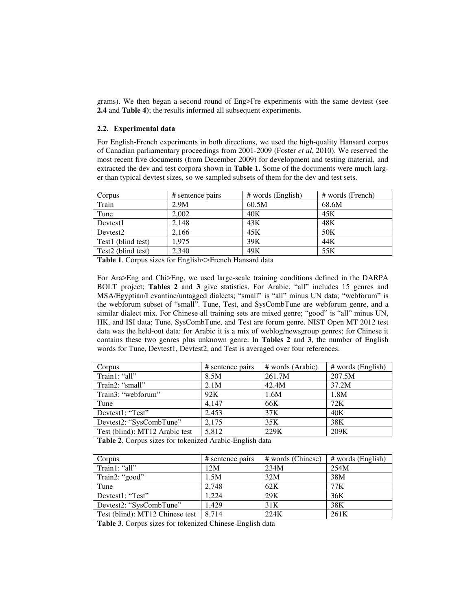grams). We then began a second round of Eng>Fre experiments with the same devtest (see **2.4** and **Table 4)**; the results informed all subsequent experiments.

#### **2.2. Experimental data**

For English-French experiments in both directions, we used the high-quality Hansard corpus of Canadian parliamentary proceedings from 2001-2009 (Foster *et al*, 2010). We reserved the most recent five documents (from December 2009) for development and testing material, and extracted the dev and test corpora shown in **Table 1.** Some of the documents were much larger than typical devtest sizes, so we sampled subsets of them for the dev and test sets.

| Corpus                         | # sentence pairs | $#$ words (English) | # words (French) |
|--------------------------------|------------------|---------------------|------------------|
| Train                          | 2.9M             | 60.5M               | 68.6M            |
| Tune                           | 2.002            | 40K                 | 45K              |
| Devtest1                       | 2.148            | 43K                 | 48K              |
| Devtest <sub>2</sub>           | 2.166            | 45K                 | 50K              |
| Test1 (blind test)             | 1.975            | 39K                 | 44K              |
| Test <sub>2</sub> (blind test) | 2.340            | 49K                 | 55K              |

**Table 1**. Corpus sizes for English<>French Hansard data

For Ara>Eng and Chi>Eng, we used large-scale training conditions defined in the DARPA BOLT project; **Tables 2** and **3** give statistics. For Arabic, "all" includes 15 genres and MSA/Egyptian/Levantine/untagged dialects; "small" is "all" minus UN data; "webforum" is the webforum subset of "small". Tune, Test, and SysCombTune are webforum genre, and a similar dialect mix. For Chinese all training sets are mixed genre; "good" is "all" minus UN, HK, and ISI data; Tune, SysCombTune, and Test are forum genre. NIST Open MT 2012 test data was the held-out data: for Arabic it is a mix of weblog/newsgroup genres; for Chinese it contains these two genres plus unknown genre. In **Tables 2** and **3**, the number of English words for Tune, Devtest1, Devtest2, and Test is averaged over four references.

| Corpus                         | # sentence pairs | # words (Arabic) | # words (English) |
|--------------------------------|------------------|------------------|-------------------|
| Train1: "all"                  | 8.5M             | 261.7M           | 207.5M            |
| Train2: "small"                | 2.1M             | 42.4M            | 37.2M             |
| Train3: "webforum"             | 92K              | 1.6M             | 1.8M              |
| Tune                           | 4.147            | 66K              | 72K               |
| Devtest1: "Test"               | 2.453            | 37K              | 40K               |
| Devtest2: "SysCombTune"        | 2.175            | 35K              | 38K               |
| Test (blind): MT12 Arabic test | 5,812            | 229K             | 209K              |

**Table 2**. Corpus sizes for tokenized Arabic-English data

| Corpus                          | # sentence pairs | # words (Chinese) | # words (English) |
|---------------------------------|------------------|-------------------|-------------------|
| Train1: "all"                   | 12M              | 234M              | 254M              |
| Train2: "good"                  | 1.5M             | 32M               | 38M               |
| Tune                            | 2.748            | 62K               | 77K               |
| Devtest1: "Test"                | 1.224            | 29K               | 36K               |
| Devtest2: "SysCombTune"         | 1.429            | 31K               | 38K               |
| Test (blind): MT12 Chinese test | 8.714            | 224K              | 261K              |

**Table 3**. Corpus sizes for tokenized Chinese-English data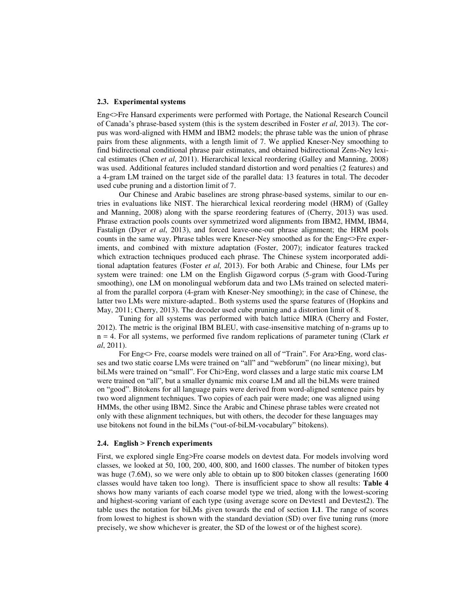#### **2.3. Experimental systems**

Eng<>Fre Hansard experiments were performed with Portage, the National Research Council of Canada's phrase-based system (this is the system described in Foster *et al*, 2013). The corpus was word-aligned with HMM and IBM2 models; the phrase table was the union of phrase pairs from these alignments, with a length limit of 7. We applied Kneser-Ney smoothing to find bidirectional conditional phrase pair estimates, and obtained bidirectional Zens-Ney lexical estimates (Chen *et al*, 2011). Hierarchical lexical reordering (Galley and Manning, 2008) was used. Additional features included standard distortion and word penalties (2 features) and a 4-gram LM trained on the target side of the parallel data: 13 features in total. The decoder used cube pruning and a distortion limit of 7.

Our Chinese and Arabic baselines are strong phrase-based systems, similar to our entries in evaluations like NIST. The hierarchical lexical reordering model (HRM) of (Galley and Manning, 2008) along with the sparse reordering features of (Cherry, 2013) was used. Phrase extraction pools counts over symmetrized word alignments from IBM2, HMM, IBM4, Fastalign (Dyer *et al*, 2013), and forced leave-one-out phrase alignment; the HRM pools counts in the same way. Phrase tables were Kneser-Ney smoothed as for the Eng<>Fre experiments, and combined with mixture adaptation (Foster, 2007); indicator features tracked which extraction techniques produced each phrase. The Chinese system incorporated additional adaptation features (Foster *et al*, 2013). For both Arabic and Chinese, four LMs per system were trained: one LM on the English Gigaword corpus (5-gram with Good-Turing smoothing), one LM on monolingual webforum data and two LMs trained on selected material from the parallel corpora (4-gram with Kneser-Ney smoothing); in the case of Chinese, the latter two LMs were mixture-adapted.. Both systems used the sparse features of (Hopkins and May, 2011; Cherry, 2013). The decoder used cube pruning and a distortion limit of 8.

Tuning for all systems was performed with batch lattice MIRA (Cherry and Foster, 2012). The metric is the original IBM BLEU, with case-insensitive matching of n-grams up to n = 4. For all systems, we performed five random replications of parameter tuning (Clark *et al*, 2011).

For Eng<> Fre, coarse models were trained on all of "Train". For Ara>Eng, word classes and two static coarse LMs were trained on "all" and "webforum" (no linear mixing), but biLMs were trained on "small". For Chi>Eng, word classes and a large static mix coarse LM were trained on "all", but a smaller dynamic mix coarse LM and all the biLMs were trained on "good". Bitokens for all language pairs were derived from word-aligned sentence pairs by two word alignment techniques. Two copies of each pair were made; one was aligned using HMMs, the other using IBM2. Since the Arabic and Chinese phrase tables were created not only with these alignment techniques, but with others, the decoder for these languages may use bitokens not found in the biLMs ("out-of-biLM-vocabulary" bitokens).

#### **2.4. English > French experiments**

First, we explored single Eng>Fre coarse models on devtest data. For models involving word classes, we looked at 50, 100, 200, 400, 800, and 1600 classes. The number of bitoken types was huge (7.6M), so we were only able to obtain up to 800 bitoken classes (generating 1600 classes would have taken too long). There is insufficient space to show all results: **Table 4** shows how many variants of each coarse model type we tried, along with the lowest-scoring and highest-scoring variant of each type (using average score on Devtest1 and Devtest2). The table uses the notation for biLMs given towards the end of section **1.1**. The range of scores from lowest to highest is shown with the standard deviation (SD) over five tuning runs (more precisely, we show whichever is greater, the SD of the lowest or of the highest score).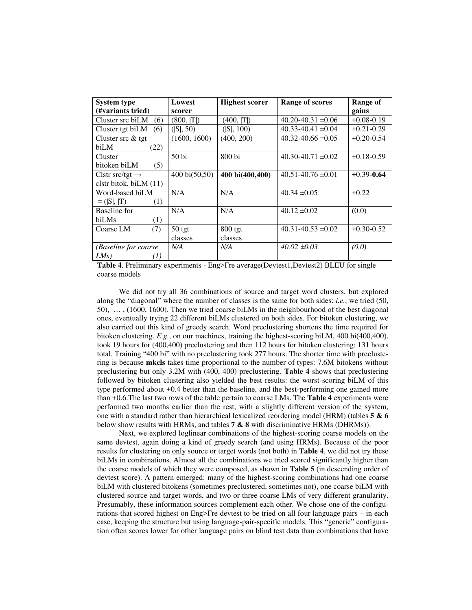| <b>System type</b>          | Lowest                  | <b>Highest scorer</b> | Range of scores          | Range of       |
|-----------------------------|-------------------------|-----------------------|--------------------------|----------------|
| (#variants tried)           | scorer                  |                       |                          | gains          |
| Cluster src biLM<br>(6)     | (800,  T )              | (400,  T )            | $40.20 - 40.31 \pm 0.06$ | $+0.08 - 0.19$ |
| Cluster tgt biLM<br>(6)     | ( S , 50)               | ( S , 100)            | $40.33 - 40.41 \pm 0.04$ | $+0.21 - 0.29$ |
| Cluster src & tgt           | (1600, 1600)            | (400, 200)            | $40.32 - 40.66 \pm 0.05$ | $+0.20 - 0.54$ |
| biLM<br>(22)                |                         |                       |                          |                |
| Cluster                     | 50 <sub>bi</sub>        | $800$ bi              | $40.30 - 40.71 \pm 0.02$ | $+0.18 - 0.59$ |
| bitoken biLM<br>(5)         |                         |                       |                          |                |
| Clstr src/tgt $\rightarrow$ | $400 \text{ bi}(50,50)$ | 400 bi(400,400)       | $40.51 - 40.76 \pm 0.01$ | $+0.39 - 0.64$ |
| clstr bitok. biLM $(11)$    |                         |                       |                          |                |
| Word-based biLM             | N/A                     | N/A                   | $40.34 \pm 0.05$         | $+0.22$        |
| $= ( S ,  T)$<br>(1)        |                         |                       |                          |                |
| Baseline for                | N/A                     | N/A                   | $40.12 \pm 0.02$         | (0.0)          |
| biLMs<br>(1)                |                         |                       |                          |                |
| Coarse LM<br>(7)            | $50$ tgt                | $800$ tgt             | $40.31 - 40.53 \pm 0.02$ | $+0.30 - 0.52$ |
|                             | classes                 | classes               |                          |                |
| (Baseline for coarse        | N/A                     | N/A                   | $40.02 \pm 0.03$         | (0.0)          |
| LMs)<br>(1)                 |                         |                       |                          |                |

**Table 4**. Preliminary experiments - Eng>Fre average(Devtest1,Devtest2) BLEU for single coarse models

We did not try all 36 combinations of source and target word clusters, but explored along the "diagonal" where the number of classes is the same for both sides: *i.e.*, we tried (50, 50), … , (1600, 1600). Then we tried coarse biLMs in the neighbourhood of the best diagonal ones, eventually trying 22 different biLMs clustered on both sides. For bitoken clustering, we also carried out this kind of greedy search. Word preclustering shortens the time required for bitoken clustering. *E.g.*, on our machines, training the highest-scoring biLM, 400 bi(400,400), took 19 hours for (400,400) preclustering and then 112 hours for bitoken clustering: 131 hours total. Training "400 bi" with no preclustering took 277 hours. The shorter time with preclustering is because **mkcls** takes time proportional to the number of types: 7.6M bitokens without preclustering but only 3.2M with (400, 400) preclustering. **Table 4** shows that preclustering followed by bitoken clustering also yielded the best results: the worst-scoring biLM of this type performed about +0.4 better than the baseline, and the best-performing one gained more than +0.6.The last two rows of the table pertain to coarse LMs. The **Table 4** experiments were performed two months earlier than the rest, with a slightly different version of the system, one with a standard rather than hierarchical lexicalized reordering model (HRM) (tables **5 & 6** below show results with HRMs, and tables **7 & 8** with discriminative HRMs (DHRMs)).

Next, we explored loglinear combinations of the highest-scoring coarse models on the same devtest, again doing a kind of greedy search (and using HRMs). Because of the poor results for clustering on only source or target words (not both) in **Table 4**, we did not try these biLMs in combinations. Almost all the combinations we tried scored significantly higher than the coarse models of which they were composed, as shown in **Table 5** (in descending order of devtest score). A pattern emerged: many of the highest-scoring combinations had one coarse biLM with clustered bitokens (sometimes preclustered, sometimes not), one coarse biLM with clustered source and target words, and two or three coarse LMs of very different granularity. Presumably, these information sources complement each other. We chose one of the configurations that scored highest on Eng>Fre devtest to be tried on all four language pairs – in each case, keeping the structure but using language-pair-specific models. This "generic" configuration often scores lower for other language pairs on blind test data than combinations that have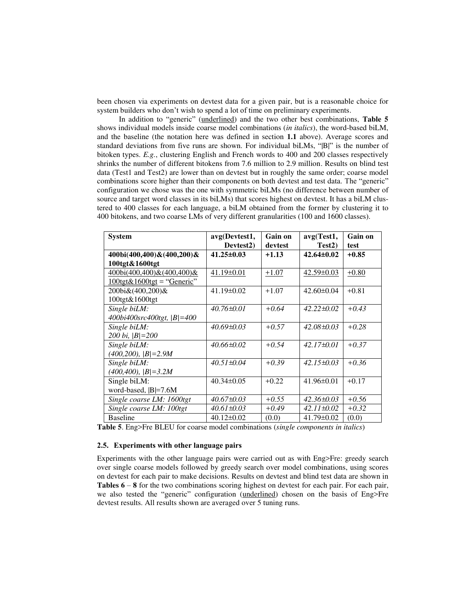been chosen via experiments on devtest data for a given pair, but is a reasonable choice for system builders who don't wish to spend a lot of time on preliminary experiments.

In addition to "generic" (underlined) and the two other best combinations, **Table 5** shows individual models inside coarse model combinations (*in italics*), the word-based biLM, and the baseline (the notation here was defined in section **1.1** above). Average scores and standard deviations from five runs are shown. For individual biLMs, "|B|" is the number of bitoken types. *E.g.*, clustering English and French words to 400 and 200 classes respectively shrinks the number of different bitokens from 7.6 million to 2.9 million. Results on blind test data (Test1 and Test2) are lower than on devtest but in roughly the same order; coarse model combinations score higher than their components on both devtest and test data. The "generic" configuration we chose was the one with symmetric biLMs (no difference between number of source and target word classes in its biLMs) that scores highest on devtest. It has a biLM clustered to 400 classes for each language, a biLM obtained from the former by clustering it to 400 bitokens, and two coarse LMs of very different granularities (100 and 1600 classes).

| <b>System</b>                                            | avg(Devtest1,<br>Devtest <sub>2</sub> ) | Gain on<br>devtest | avg(Test1,<br>Test <sub>2</sub> ) | <b>Gain on</b><br>test |
|----------------------------------------------------------|-----------------------------------------|--------------------|-----------------------------------|------------------------|
| $400bi(400,400) \& (400,200) \&$                         | $41.25 \pm 0.03$                        | $+1.13$            | $42.64\pm0.02$                    | $+0.85$                |
| 100tgt&1600tgt                                           |                                         |                    |                                   |                        |
| 400bi(400,400)&(400,400)&                                | $41.19 \pm 0.01$                        | $+1.07$            | $42.59 \pm 0.03$                  | $+0.80$                |
| $100 \text{tgt} \& 1600 \text{tgt} = \text{``Generic''}$ |                                         |                    |                                   |                        |
| 200bi&(400,200)&                                         | $41.19\pm0.02$                          | $+1.07$            | $42.60\pm0.04$                    | $+0.81$                |
| 100tgt&1600tgt                                           |                                         |                    |                                   |                        |
| Single biLM:                                             | $40.76 \pm 0.01$                        | $+0.64$            | $42.22 \pm 0.02$                  | $+0.43$                |
| 400bi400src400tgt,  B =400                               |                                         |                    |                                   |                        |
| Single biLM:                                             | $40.69 \pm 0.03$                        | $+0.57$            | $42.08 \pm 0.03$                  | $+0.28$                |
| 200 bi, $ B =200$                                        |                                         |                    |                                   |                        |
| Single biLM:                                             | $40.66 \pm 0.02$                        | $+0.54$            | $42.17\pm0.01$                    | $+0.37$                |
| $(400, 200),  B =2.9M$                                   |                                         |                    |                                   |                        |
| Single biLM:                                             | $40.51 \pm 0.04$                        | $+0.39$            | $42.15\pm0.03$                    | $+0.36$                |
| $(400, 400),  B =3.2M$                                   |                                         |                    |                                   |                        |
| Single biLM:                                             | $40.34 \pm 0.05$                        | $+0.22$            | $41.96 \pm 0.01$                  | $+0.17$                |
| word-based,  B =7.6M                                     |                                         |                    |                                   |                        |
| Single coarse LM: 1600tgt                                | $40.67 \pm 0.03$                        | $+0.55$            | $42.36 \pm 0.03$                  | $+0.56$                |
| Single coarse LM: 100tgt                                 | $40.61 \pm 0.03$                        | $+0.49$            | $42.11 \pm 0.02$                  | $+0.32$                |
| <b>Baseline</b>                                          | $40.12 \pm 0.02$                        | (0.0)              | $41.79 \pm 0.02$                  | (0.0)                  |

**Table 5**. Eng>Fre BLEU for coarse model combinations (*single components in italics*)

#### **2.5. Experiments with other language pairs**

Experiments with the other language pairs were carried out as with Eng>Fre: greedy search over single coarse models followed by greedy search over model combinations, using scores on devtest for each pair to make decisions. Results on devtest and blind test data are shown in **Tables 6** – **8** for the two combinations scoring highest on devtest for each pair. For each pair, we also tested the "generic" configuration (underlined) chosen on the basis of Eng>Fre devtest results. All results shown are averaged over 5 tuning runs.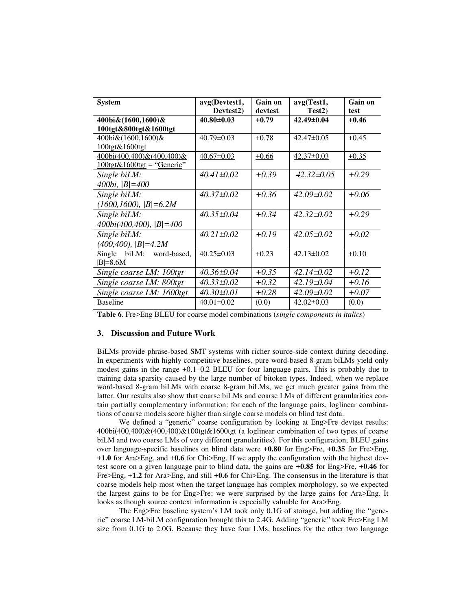| <b>System</b>                                            | avg(Devtest1,          | Gain on | avg(Test1,          | Gain on |
|----------------------------------------------------------|------------------------|---------|---------------------|---------|
|                                                          | Devtest <sub>2</sub> ) | devtest | Test <sub>2</sub> ) | test    |
| 400bi&(1600,1600)&                                       | $40.80 \pm 0.03$       | $+0.79$ | $42.49 \pm 0.04$    | $+0.46$ |
| 100tgt&800tgt&1600tgt                                    |                        |         |                     |         |
| 400bi&(1600,1600)&                                       | $40.79 \pm 0.03$       | $+0.78$ | $42.47 \pm 0.05$    | $+0.45$ |
| 100tgt&1600tgt                                           |                        |         |                     |         |
| 400bi(400,400)&(400,400)&                                | $40.67 \pm 0.03$       | $+0.66$ | $42.37 \pm 0.03$    | $+0.35$ |
| $100 \text{tgt} \& 1600 \text{tgt} = \text{``Generic''}$ |                        |         |                     |         |
| Single biLM:                                             | $40.41 \pm 0.02$       | $+0.39$ | $42.32\pm0.05$      | $+0.29$ |
| 400bi, $ B =400$                                         |                        |         |                     |         |
| Single biLM:                                             | $40.37 \pm 0.02$       | $+0.36$ | $42.09 \pm 0.02$    | $+0.06$ |
| $(1600, 1600),  B  = 6.2M$                               |                        |         |                     |         |
| Single biLM:                                             | $40.35 \pm 0.04$       | $+0.34$ | $42.32 \pm 0.02$    | $+0.29$ |
| $400bi(400, 400)$ , $ B =400$                            |                        |         |                     |         |
| Single biLM:                                             | $40.21 \pm 0.02$       | $+0.19$ | $42.05 \pm 0.02$    | $+0.02$ |
| $(400, 400),  B =4.2M$                                   |                        |         |                     |         |
| Single biLM: word-based,                                 | $40.25 \pm 0.03$       | $+0.23$ | $42.13 \pm 0.02$    | $+0.10$ |
| $ B =8.6M$                                               |                        |         |                     |         |
| Single coarse LM: 100tgt                                 | $40.36 \pm 0.04$       | $+0.35$ | $42.14\pm0.02$      | $+0.12$ |
| Single coarse LM: 800tgt                                 | $40.33 \pm 0.02$       | $+0.32$ | $42.19\pm0.04$      | $+0.16$ |
| Single coarse LM: 1600tgt                                | $40.30\pm0.01$         | $+0.28$ | $42.09 \pm 0.02$    | $+0.07$ |
| <b>Baseline</b>                                          | $40.01 \pm 0.02$       | (0.0)   | $42.02\pm0.03$      | (0.0)   |

**Table 6**. Fre>Eng BLEU for coarse model combinations (*single components in italics*)

### **3. Discussion and Future Work**

BiLMs provide phrase-based SMT systems with richer source-side context during decoding. In experiments with highly competitive baselines, pure word-based 8-gram biLMs yield only modest gains in the range +0.1–0.2 BLEU for four language pairs. This is probably due to training data sparsity caused by the large number of bitoken types. Indeed, when we replace word-based 8-gram biLMs with coarse 8-gram biLMs, we get much greater gains from the latter. Our results also show that coarse biLMs and coarse LMs of different granularities contain partially complementary information: for each of the language pairs, loglinear combinations of coarse models score higher than single coarse models on blind test data.

We defined a "generic" coarse configuration by looking at Eng>Fre devtest results: 400bi(400,400)&(400,400)&100tgt&1600tgt (a loglinear combination of two types of coarse biLM and two coarse LMs of very different granularities). For this configuration, BLEU gains over language-specific baselines on blind data were **+0.80** for Eng>Fre, **+0.35** for Fre>Eng, **+1.0** for Ara>Eng, and +**0.6** for Chi>Eng. If we apply the configuration with the highest devtest score on a given language pair to blind data, the gains are **+0.85** for Eng>Fre, **+0.46** for Fre>Eng, +**1.2** for Ara>Eng, and still **+0.6** for Chi>Eng. The consensus in the literature is that coarse models help most when the target language has complex morphology, so we expected the largest gains to be for Eng>Fre: we were surprised by the large gains for Ara>Eng. It looks as though source context information is especially valuable for Ara>Eng.

The Eng>Fre baseline system's LM took only 0.1G of storage, but adding the "generic" coarse LM-biLM configuration brought this to 2.4G. Adding "generic" took Fre>Eng LM size from 0.1G to 2.0G. Because they have four LMs, baselines for the other two language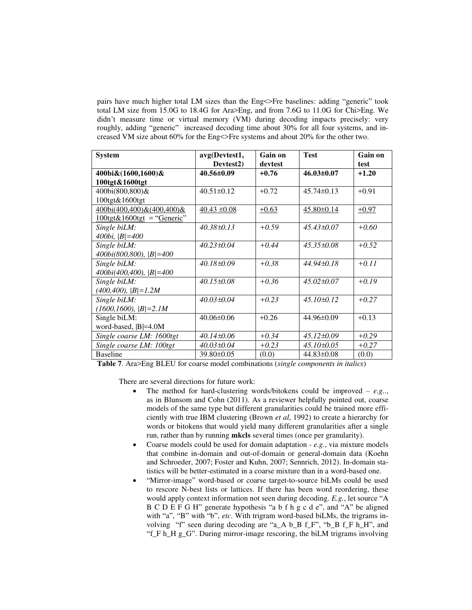pairs have much higher total LM sizes than the Eng<>Fre baselines: adding "generic" took total LM size from 15.0G to 18.4G for Ara>Eng, and from 7.6G to 11.0G for Chi>Eng. We didn't measure time or virtual memory (VM) during decoding impacts precisely: very roughly, adding "generic" increased decoding time about 30% for all four systems, and increased VM size about 60% for the Eng<>Fre systems and about 20% for the other two.

| <b>System</b>                                                                    | avg(Devtest1,              | Gain on | <b>Test</b>      | Gain on |
|----------------------------------------------------------------------------------|----------------------------|---------|------------------|---------|
|                                                                                  | Devtest2)                  | devtest |                  | test    |
| 400bi&(1600,1600)&                                                               | 40.56±0.09                 | $+0.76$ | $46.03 \pm 0.07$ | $+1.20$ |
| 100tgt&1600tgt                                                                   |                            |         |                  |         |
| 400bi(800,800)&                                                                  | $40.51 \pm 0.12$           | $+0.72$ | $45.74 \pm 0.13$ | $+0.91$ |
| 100tgt&1600tgt                                                                   |                            |         |                  |         |
| $400\text{bi}(400,400) \& (400,400) \&$                                          | $\frac{40.43 \pm 0.08}{2}$ | $+0.63$ | $45.80 \pm 0.14$ | $+0.97$ |
| $\frac{100 \text{tgt} \& 1600 \text{tgt}}{2000 \text{tgt}} = \text{``Generic''}$ |                            |         |                  |         |
| Single biLM:                                                                     | $40.38 \pm 0.13$           | $+0.59$ | $45.43\pm0.07$   | $+0.60$ |
| 400bi, $ B =400$                                                                 |                            |         |                  |         |
| Single biLM:                                                                     | $40.23 \pm 0.04$           | $+0.44$ | $45.35\pm0.08$   | $+0.52$ |
| $400bi(800,800)$ , $ B =400$                                                     |                            |         |                  |         |
| Single biLM:                                                                     | $40.18\pm0.09$             | $+0.38$ | $44.94 \pm 0.18$ | $+0.11$ |
| $400bi(400, 400)$ , $ B =400$                                                    |                            |         |                  |         |
| Single biLM:                                                                     | $40.15 \pm 0.08$           | $+0.36$ | $45.02 \pm 0.07$ | $+0.19$ |
| $(400, 400),  B =1.2M$                                                           |                            |         |                  |         |
| Single biLM:                                                                     | $40.03 \pm 0.04$           | $+0.23$ | $45.10\pm0.12$   | $+0.27$ |
| $(1600, 1600),  B =2.1M$                                                         |                            |         |                  |         |
| Single biLM:                                                                     | $40.06 \pm 0.06$           | $+0.26$ | $44.96\pm0.09$   | $+0.13$ |
| word-based,  B =4.0M                                                             |                            |         |                  |         |
| Single coarse LM: 1600tgt                                                        | $40.14\pm0.06$             | $+0.34$ | $45.12\pm0.09$   | $+0.29$ |
| Single coarse LM: 100tgt                                                         | $40.03 \pm 0.04$           | $+0.23$ | $45.10\pm0.05$   | $+0.27$ |
| <b>Baseline</b>                                                                  | 39.80±0.05                 | (0.0)   | $44.83 \pm 0.08$ | (0.0)   |

**Table 7**. Ara>Eng BLEU for coarse model combinations (*single components in italics*)

There are several directions for future work:

- The method for hard-clustering words/bitokens could be improved *e.g.*., as in Blunsom and Cohn (2011). As a reviewer helpfully pointed out, coarse models of the same type but different granularities could be trained more efficiently with true IBM clustering (Brown *et al*, 1992) to create a hierarchy for words or bitokens that would yield many different granularities after a single run, rather than by running **mkcls** several times (once per granularity).
- Coarse models could be used for domain adaptation *e.g.*, via mixture models that combine in-domain and out-of-domain or general-domain data (Koehn and Schroeder, 2007; Foster and Kuhn, 2007; Sennrich, 2012). In-domain statistics will be better-estimated in a coarse mixture than in a word-based one.
- "Mirror-image" word-based or coarse target-to-source biLMs could be used to rescore N-best lists or lattices. If there has been word reordering, these would apply context information not seen during decoding. *E.g.*, let source "A B C D E F G H" generate hypothesis "a b f h g c d e", and "A" be aligned with "a", "B" with "b", *etc*. With trigram word-based biLMs, the trigrams involving "f" seen during decoding are "a\_A b\_B f\_F", "b\_B f\_F h\_H", and "f\_F h\_H g\_G". During mirror-image rescoring, the biLM trigrams involving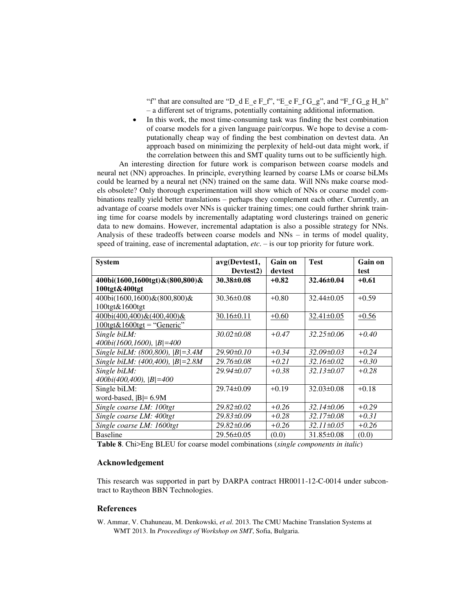"f" that are consulted are "D\_d E\_e F\_f", "E\_e F\_f G\_g", and "F\_f G\_g H\_h" – a different set of trigrams, potentially containing additional information.

• In this work, the most time-consuming task was finding the best combination of coarse models for a given language pair/corpus. We hope to devise a computationally cheap way of finding the best combination on devtest data. An approach based on minimizing the perplexity of held-out data might work, if the correlation between this and SMT quality turns out to be sufficiently high.

An interesting direction for future work is comparison between coarse models and neural net (NN) approaches. In principle, everything learned by coarse LMs or coarse biLMs could be learned by a neural net (NN) trained on the same data. Will NNs make coarse models obsolete? Only thorough experimentation will show which of NNs or coarse model combinations really yield better translations – perhaps they complement each other. Currently, an advantage of coarse models over NNs is quicker training times; one could further shrink training time for coarse models by incrementally adaptating word clusterings trained on generic data to new domains. However, incremental adaptation is also a possible strategy for NNs. Analysis of these tradeoffs between coarse models and NNs – in terms of model quality, speed of training, ease of incremental adaptation, *etc*. – is our top priority for future work.

| <b>System</b>                                            | avg(Devtest1,          | Gain on | <b>Test</b>      | Gain on |
|----------------------------------------------------------|------------------------|---------|------------------|---------|
|                                                          | Devtest <sub>2</sub> ) | devtest |                  | test    |
| 400bi(1600,1600tgt)&(800,800)&                           | $30.38 \pm 0.08$       | $+0.82$ | $32.46 \pm 0.04$ | $+0.61$ |
| 100tgt&400tgt                                            |                        |         |                  |         |
| 400bi(1600,1600)&(800,800)&                              | $30.36 \pm 0.08$       | $+0.80$ | $32.44\pm0.05$   | $+0.59$ |
| 100tgt&1600tgt                                           |                        |         |                  |         |
| $400\text{bi}(400,400) \& (400,400) \&$                  | $30.16 \pm 0.11$       | $+0.60$ | $32.41 \pm 0.05$ | $+0.56$ |
| $100 \text{tgt} \& 1600 \text{tgt} = \text{``Generic''}$ |                        |         |                  |         |
| Single biLM:                                             | $30.02 \pm 0.08$       | $+0.47$ | $32.25 \pm 0.06$ | $+0.40$ |
| $400bi(1600,1600),  B =400$                              |                        |         |                  |         |
| Single biLM: $(800, 800)$ , $ B =3.4M$                   | $29.90 \pm 0.10$       | $+0.34$ | $32.09 \pm 0.03$ | $+0.24$ |
| Single biLM: $(400, 400)$ , $ B =2.8M$                   | 29.76±0.08             | $+0.21$ | $32.16 \pm 0.02$ | $+0.30$ |
| Single biLM:                                             | $29.94 \pm 0.07$       | $+0.38$ | $32.13 \pm 0.07$ | $+0.28$ |
| $400bi(400,400)$ , $ B =400$                             |                        |         |                  |         |
| Single biLM:                                             | $29.74 \pm 0.09$       | $+0.19$ | $32.03\pm0.08$   | $+0.18$ |
| word-based, $ B =6.9M$                                   |                        |         |                  |         |
| Single coarse LM: 100tgt                                 | $29.82 \pm 0.02$       | $+0.26$ | $32.14\pm0.06$   | $+0.29$ |
| Single coarse LM: 400tgt                                 | 29.83±0.09             | $+0.28$ | $32.17\pm0.08$   | $+0.31$ |
| Single coarse LM: 1600tgt                                | 29.82±0.06             | $+0.26$ | $32.11 \pm 0.05$ | $+0.26$ |
| <b>Baseline</b>                                          | $29.56 \pm 0.05$       | (0.0)   | $31.85 \pm 0.08$ | (0.0)   |

**Table 8**. Chi>Eng BLEU for coarse model combinations (*single components in italic*)

## **Acknowledgement**

This research was supported in part by DARPA contract HR0011-12-C-0014 under subcontract to Raytheon BBN Technologies.

## **References**

W. Ammar, V. Chahuneau, M. Denkowski, *et al*. 2013. The CMU Machine Translation Systems at WMT 2013. In *Proceedings of Workshop on SMT*, Sofia, Bulgaria.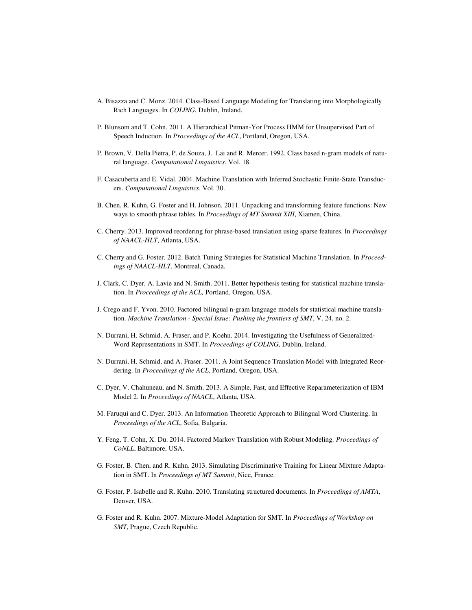- A. Bisazza and C. Monz. 2014. Class-Based Language Modeling for Translating into Morphologically Rich Languages. In *COLING*, Dublin, Ireland.
- P. Blunsom and T. Cohn. 2011. A Hierarchical Pitman-Yor Process HMM for Unsupervised Part of Speech Induction. In *Proceedings of the ACL*, Portland, Oregon, USA.
- P. Brown, V. Della Pietra, P. de Souza, J. Lai and R. Mercer. 1992. Class based n-gram models of natural language. *Computational Linguistics*, Vol. 18.
- F. Casacuberta and E. Vidal. 2004. Machine Translation with Inferred Stochastic Finite-State Transducers. *Computational Linguistics*. Vol. 30.
- B. Chen, R. Kuhn, G. Foster and H. Johnson. 2011. Unpacking and transforming feature functions: New ways to smooth phrase tables. In *Proceedings of MT Summit XIII*, Xiamen, China.
- C. Cherry. 2013. Improved reordering for phrase-based translation using sparse features. In *Proceedings of NAACL-HLT*, Atlanta, USA.
- C. Cherry and G. Foster. 2012. Batch Tuning Strategies for Statistical Machine Translation. In *Proceedings of NAACL-HLT*, Montreal, Canada.
- J. Clark, C. Dyer, A. Lavie and N. Smith. 2011. Better hypothesis testing for statistical machine translation. In *Proceedings of the ACL,* Portland, Oregon, USA.
- J. Crego and F. Yvon. 2010. Factored bilingual n-gram language models for statistical machine translation. *Machine Translation - Special Issue: Pushing the frontiers of SMT*, V. 24, no. 2.
- N. Durrani, H. Schmid, A. Fraser, and P. Koehn. 2014. Investigating the Usefulness of Generalized-Word Representations in SMT. In *Proceedings of COLING*, Dublin, Ireland.
- N. Durrani, H. Schmid, and A. Fraser. 2011. A Joint Sequence Translation Model with Integrated Reordering. In *Proceedings of the ACL*, Portland, Oregon, USA.
- C. Dyer, V. Chahuneau, and N. Smith. 2013. A Simple, Fast, and Effective Reparameterization of IBM Model 2. In *Proceedings of NAACL*, Atlanta, USA.
- M. Faruqui and C. Dyer. 2013. An Information Theoretic Approach to Bilingual Word Clustering. In *Proceedings of the ACL*, Sofia, Bulgaria.
- Y. Feng, T. Cohn, X. Du. 2014. Factored Markov Translation with Robust Modeling. *Proceedings of CoNLL*, Baltimore, USA.
- G. Foster, B. Chen, and R. Kuhn. 2013[. Simulating Discriminative Training for Linear Mixture Adapta](http://www.iro.umontreal.ca/~foster/papers/simmix-mtsummit13.pdf)[tion in SMT.](http://www.iro.umontreal.ca/~foster/papers/simmix-mtsummit13.pdf) In *Proceedings of MT Summit*, Nice, France.
- G. Foster, P. Isabelle and R. Kuhn. 2010. Translating structured documents. In *Proceedings of AMTA*, Denver, USA.
- G. Foster and R. Kuhn. 2007. Mixture-Model Adaptation for SMT. In *Proceedings of Workshop on SMT*, Prague, Czech Republic.